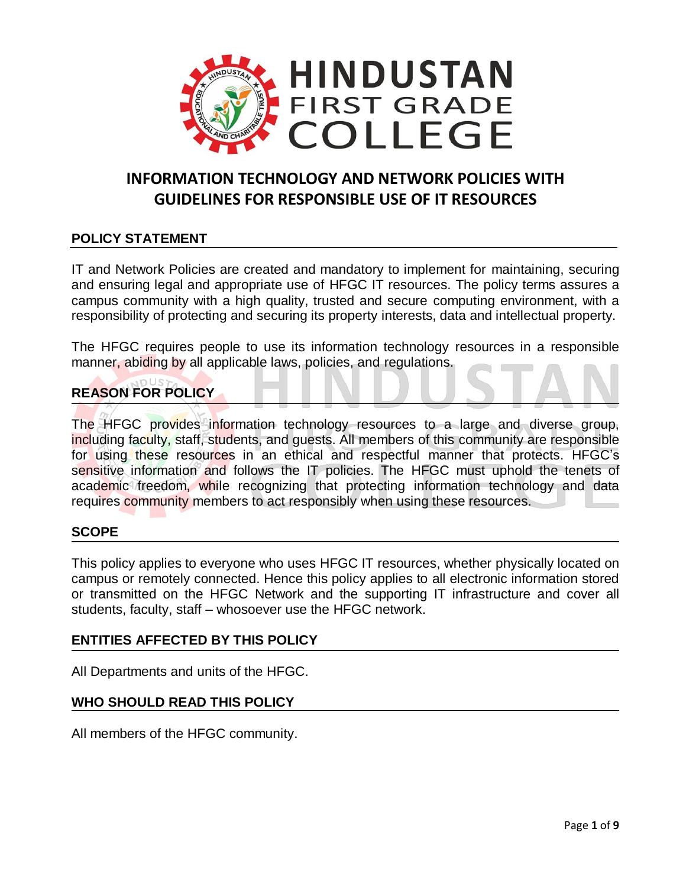

# **INFORMATION TECHNOLOGY AND NETWORK POLICIES WITH GUIDELINES FOR RESPONSIBLE USE OF IT RESOURCES**

# **POLICY STATEMENT**

IT and Network Policies are created and mandatory to implement for maintaining, securing and ensuring legal and appropriate use of HFGC IT resources. The policy terms assures a campus community with a high quality, trusted and secure computing environment, with a responsibility of protecting and securing its property interests, data and intellectual property.

The HFGC requires people to use its information technology resources in a responsible manner, abiding by all applicable laws, policies, and regulations.

# **REASON FOR POLICY**

The HFGC provides information technology resources to a large and diverse group, including faculty, staff, students, and guests. All members of this community are responsible for using these resources in an ethical and respectful manner that protects. HFGC's sensitive information and follows the IT policies. The HFGC must uphold the tenets of academic freedom, while recognizing that protecting information technology and data requires community members to act responsibly when using these resources.

# **SCOPE**

This policy applies to everyone who uses HFGC IT resources, whether physically located on campus or remotely connected. Hence this policy applies to all electronic information stored or transmitted on the HFGC Network and the supporting IT infrastructure and cover all students, faculty, staff – whosoever use the HFGC network.

# **ENTITIES AFFECTED BY THIS POLICY**

All Departments and units of the HFGC.

# **WHO SHOULD READ THIS POLICY**

All members of the HFGC community.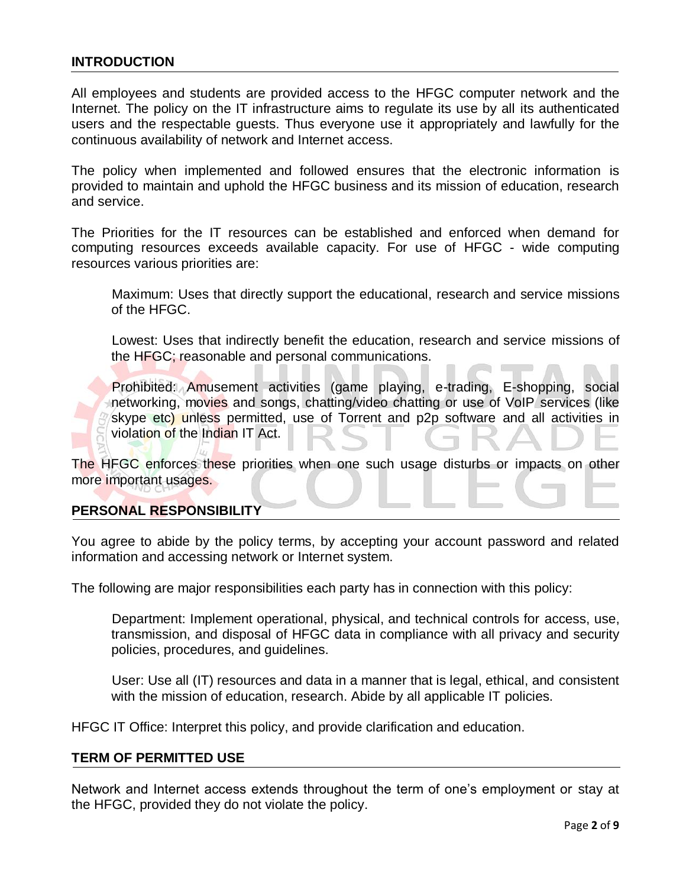### **INTRODUCTION**

All employees and students are provided access to the HFGC computer network and the Internet. The policy on the IT infrastructure aims to regulate its use by all its authenticated users and the respectable guests. Thus everyone use it appropriately and lawfully for the continuous availability of network and Internet access.

The policy when implemented and followed ensures that the electronic information is provided to maintain and uphold the HFGC business and its mission of education, research and service.

The Priorities for the IT resources can be established and enforced when demand for computing resources exceeds available capacity. For use of HFGC - wide computing resources various priorities are:

Maximum: Uses that directly support the educational, research and service missions of the HFGC.

Lowest: Uses that indirectly benefit the education, research and service missions of the HFGC; reasonable and personal communications.

Prohibited: Amusement activities (game playing, e-trading, E-shopping, social networking, movies and songs, chatting/video chatting or use of VoIP services (like skype etc) unless permitted, use of Torrent and p2p software and all activities in violation of the Indian IT Act.

The HFGC enforces these priorities when one such usage disturbs or impacts on other more important usages.

#### **PERSONAL RESPONSIBILITY**

You agree to abide by the policy terms, by accepting your account password and related information and accessing network or Internet system.

The following are major responsibilities each party has in connection with this policy:

Department: Implement operational, physical, and technical controls for access, use, transmission, and disposal of HFGC data in compliance with all privacy and security policies, procedures, and guidelines.

User: Use all (IT) resources and data in a manner that is legal, ethical, and consistent with the mission of education, research. Abide by all applicable IT policies.

HFGC IT Office: Interpret this policy, and provide clarification and education.

#### **TERM OF PERMITTED USE**

Network and Internet access extends throughout the term of one's employment or stay at the HFGC, provided they do not violate the policy.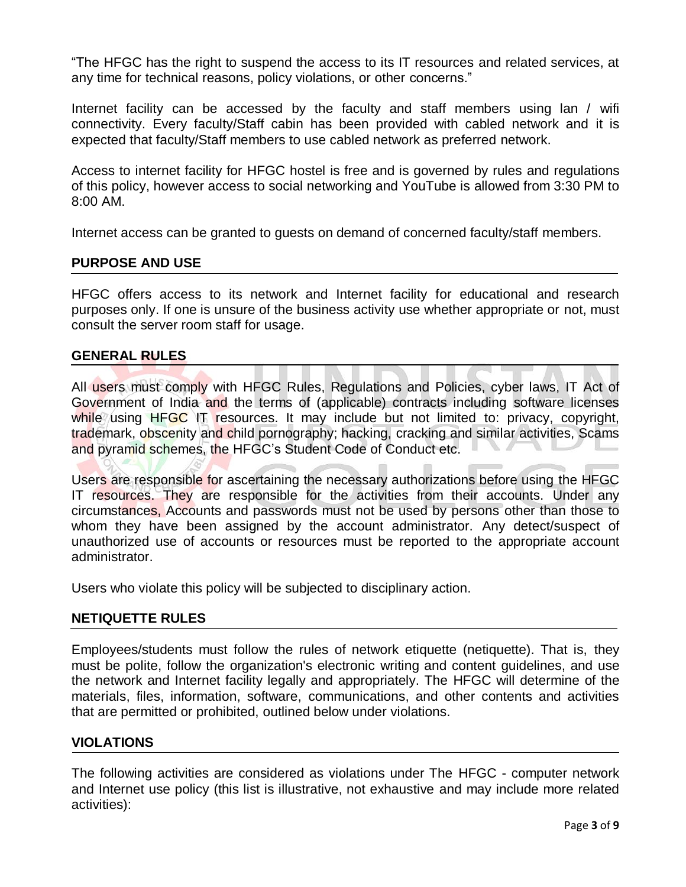"The HFGC has the right to suspend the access to its IT resources and related services, at any time for technical reasons, policy violations, or other concerns."

Internet facility can be accessed by the faculty and staff members using lan / wifi connectivity. Every faculty/Staff cabin has been provided with cabled network and it is expected that faculty/Staff members to use cabled network as preferred network.

Access to internet facility for HFGC hostel is free and is governed by rules and regulations of this policy, however access to social networking and YouTube is allowed from 3:30 PM to 8:00 AM.

Internet access can be granted to guests on demand of concerned faculty/staff members.

#### **PURPOSE AND USE**

HFGC offers access to its network and Internet facility for educational and research purposes only. If one is unsure of the business activity use whether appropriate or not, must consult the server room staff for usage.

### **GENERAL RULES**

All users must comply with HFGC Rules, Regulations and Policies, cyber laws, IT Act of Government of India and the terms of (applicable) contracts including software licenses while using  $HFGC$  IT resources. It may include but not limited to: privacy, copyright, trademark, obscenity and child pornography; hacking, cracking and similar activities, Scams and pyramid schemes, the HFGC's Student Code of Conduct etc.

Users are responsible for ascertaining the necessary authorizations before using the HFGC IT resources. They are responsible for the activities from their accounts. Under any circumstances, Accounts and passwords must not be used by persons other than those to whom they have been assigned by the account administrator. Any detect/suspect of unauthorized use of accounts or resources must be reported to the appropriate account administrator.

Users who violate this policy will be subjected to disciplinary action.

# **NETIQUETTE RULES**

Employees/students must follow the rules of network etiquette (netiquette). That is, they must be polite, follow the organization's electronic writing and content guidelines, and use the network and Internet facility legally and appropriately. The HFGC will determine of the materials, files, information, software, communications, and other contents and activities that are permitted or prohibited, outlined below under violations.

# **VIOLATIONS**

The following activities are considered as violations under The HFGC - computer network and Internet use policy (this list is illustrative, not exhaustive and may include more related activities):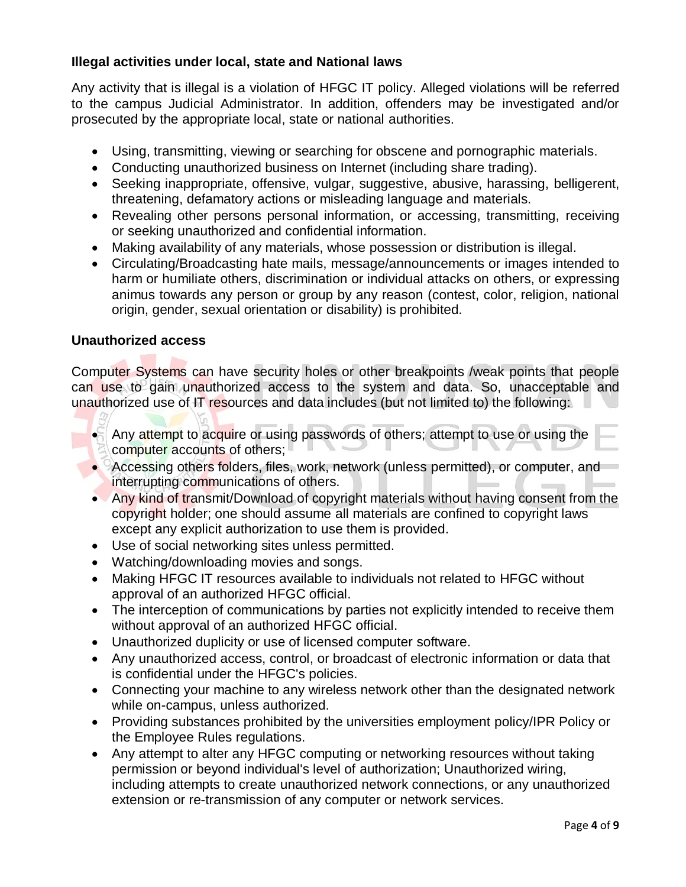# **Illegal activities under local, state and National laws**

Any activity that is illegal is a violation of HFGC IT policy. Alleged violations will be referred to the campus Judicial Administrator. In addition, offenders may be investigated and/or prosecuted by the appropriate local, state or national authorities.

- Using, transmitting, viewing or searching for obscene and pornographic materials.
- Conducting unauthorized business on Internet (including share trading).
- Seeking inappropriate, offensive, vulgar, suggestive, abusive, harassing, belligerent, threatening, defamatory actions or misleading language and materials.
- Revealing other persons personal information, or accessing, transmitting, receiving or seeking unauthorized and confidential information.
- Making availability of any materials, whose possession or distribution is illegal.
- Circulating/Broadcasting hate mails, message/announcements or images intended to harm or humiliate others, discrimination or individual attacks on others, or expressing animus towards any person or group by any reason (contest, color, religion, national origin, gender, sexual orientation or disability) is prohibited.

# **Unauthorized access**

Computer Systems can have security holes or other breakpoints /weak points that people can use to gain unauthorized access to the system and data. So, unacceptable and unauthorized use of IT resources and data includes (but not limited to) the following:

- Any attempt to acquire or using passwords of others; attempt to use or using the computer accounts of others;
- Accessing others folders, files, work, network (unless permitted), or computer, and interrupting communications of others.
- Any kind of transmit/Download of copyright materials without having consent from the copyright holder; one should assume all materials are confined to copyright laws except any explicit authorization to use them is provided.
- Use of social networking sites unless permitted.
- Watching/downloading movies and songs.
- Making HFGC IT resources available to individuals not related to HFGC without approval of an authorized HFGC official.
- The interception of communications by parties not explicitly intended to receive them without approval of an authorized HFGC official.
- Unauthorized duplicity or use of licensed computer software.
- Any unauthorized access, control, or broadcast of electronic information or data that is confidential under the HFGC's policies.
- Connecting your machine to any wireless network other than the designated network while on-campus, unless authorized.
- Providing substances prohibited by the universities employment policy/IPR Policy or the Employee Rules regulations.
- Any attempt to alter any HFGC computing or networking resources without taking permission or beyond individual's level of authorization; Unauthorized wiring, including attempts to create unauthorized network connections, or any unauthorized extension or re-transmission of any computer or network services.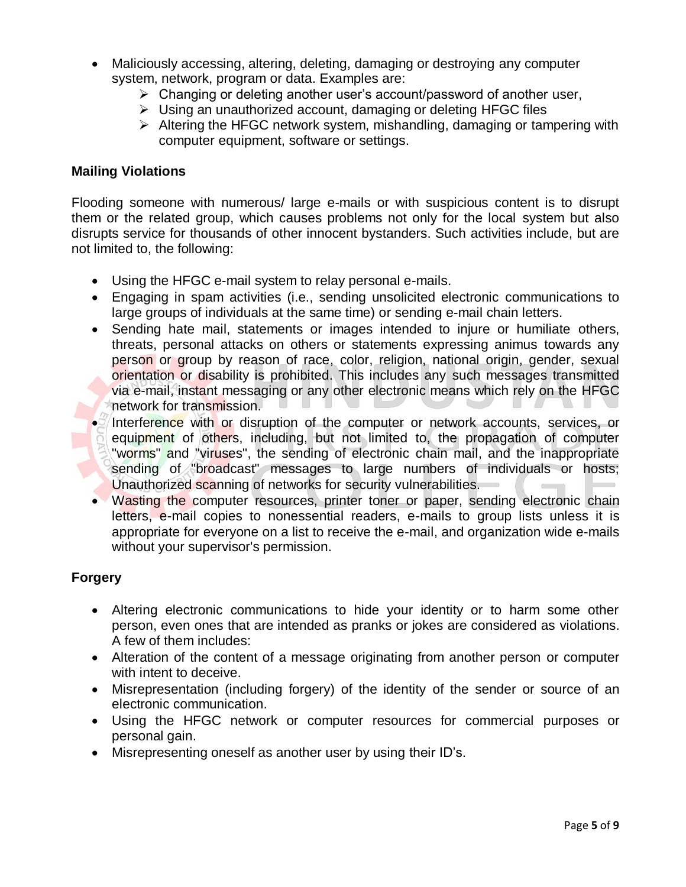- Maliciously accessing, altering, deleting, damaging or destroying any computer system, network, program or data. Examples are:
	- $\triangleright$  Changing or deleting another user's account/password of another user,
	- $\triangleright$  Using an unauthorized account, damaging or deleting HFGC files
	- $\triangleright$  Altering the HFGC network system, mishandling, damaging or tampering with computer equipment, software or settings.

### **Mailing Violations**

Flooding someone with numerous/ large e-mails or with suspicious content is to disrupt them or the related group, which causes problems not only for the local system but also disrupts service for thousands of other innocent bystanders. Such activities include, but are not limited to, the following:

- Using the HFGC e-mail system to relay personal e-mails.
- Engaging in spam activities (i.e., sending unsolicited electronic communications to large groups of individuals at the same time) or sending e-mail chain letters.
- Sending hate mail, statements or images intended to injure or humiliate others, threats, personal attacks on others or statements expressing animus towards any person or group by reason of race, color, religion, national origin, gender, sexual orientation or disability is prohibited. This includes any such messages transmitted via e-mail, instant messaging or any other electronic means which rely on the HFGC network for transmission.
- $\bullet$  Interference with or disruption of the computer or network accounts, services, or equipment of others, including, but not limited to, the propagation of computer "worms" and "viruses", the sending of electronic chain mail, and the inappropriate sending of "broadcast" messages to large numbers of individuals or hosts; Unauthorized scanning of networks for security vulnerabilities.
- Wasting the computer resources, printer toner or paper, sending electronic chain letters, e-mail copies to nonessential readers, e-mails to group lists unless it is appropriate for everyone on a list to receive the e-mail, and organization wide e-mails without your supervisor's permission.

# **Forgery**

- Altering electronic communications to hide your identity or to harm some other person, even ones that are intended as pranks or jokes are considered as violations. A few of them includes:
- Alteration of the content of a message originating from another person or computer with intent to deceive.
- Misrepresentation (including forgery) of the identity of the sender or source of an electronic communication.
- Using the HFGC network or computer resources for commercial purposes or personal gain.
- Misrepresenting oneself as another user by using their ID's.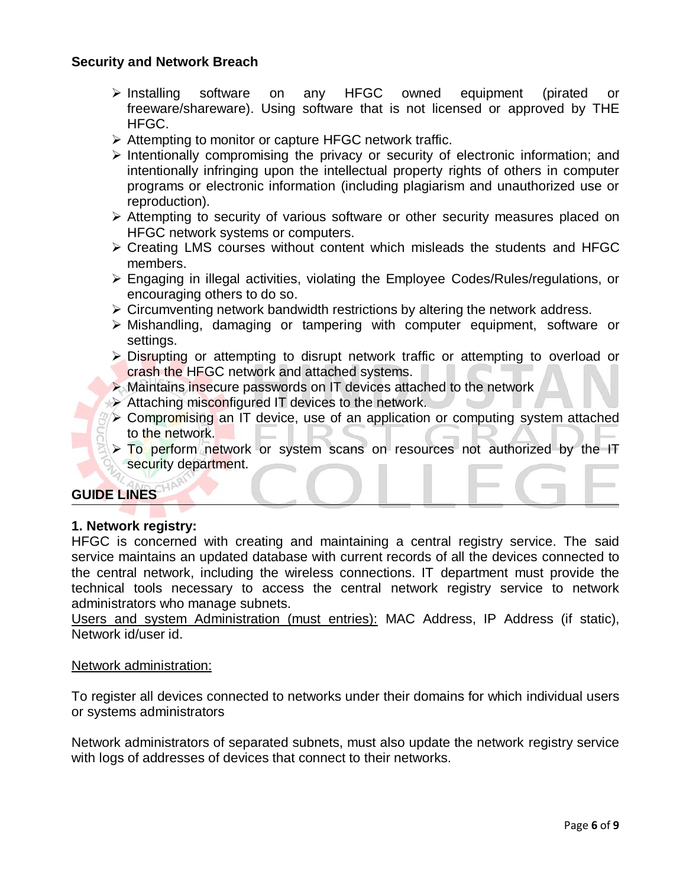# **Security and Network Breach**

- Installing software on any HFGC owned equipment (pirated or freeware/shareware). Using software that is not licensed or approved by THE HFGC.
- $\triangleright$  Attempting to monitor or capture HFGC network traffic.
- $\triangleright$  Intentionally compromising the privacy or security of electronic information; and intentionally infringing upon the intellectual property rights of others in computer programs or electronic information (including plagiarism and unauthorized use or reproduction).
- $\triangleright$  Attempting to security of various software or other security measures placed on HFGC network systems or computers.
- $\triangleright$  Creating LMS courses without content which misleads the students and HFGC members.
- Engaging in illegal activities, violating the Employee Codes/Rules/regulations, or encouraging others to do so.
- $\triangleright$  Circumventing network bandwidth restrictions by altering the network address.
- Mishandling, damaging or tampering with computer equipment, software or settings.
- Disrupting or attempting to disrupt network traffic or attempting to overload or crash the HFGC network and attached systems.
- $\triangleright$  Maintains insecure passwords on IT devices attached to the network
- Attaching misconfigured IT devices to the network.
- **EX** Compromising an IT device, use of an application or computing system attached to the network.
- $\triangleright$  To perform network or system scans on resources not authorized by the IT security department.

# **GUIDE LINES**

# **1. Network registry:**

HFGC is concerned with creating and maintaining a central registry service. The said service maintains an updated database with current records of all the devices connected to the central network, including the wireless connections. IT department must provide the technical tools necessary to access the central network registry service to network administrators who manage subnets.

Users and system Administration (must entries): MAC Address, IP Address (if static), Network id/user id.

#### Network administration:

To register all devices connected to networks under their domains for which individual users or systems administrators

Network administrators of separated subnets, must also update the network registry service with logs of addresses of devices that connect to their networks.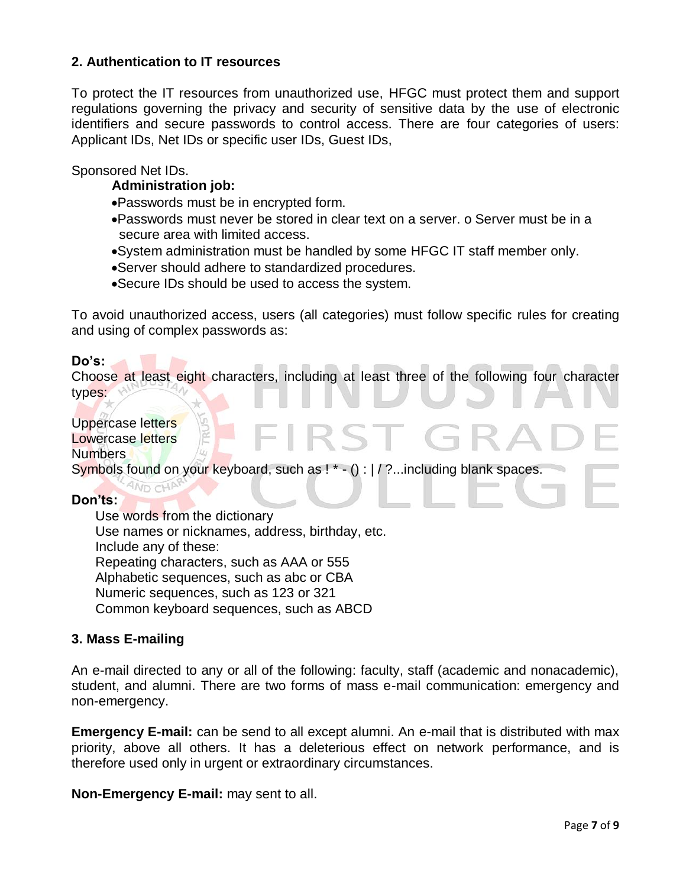# **2. Authentication to IT resources**

To protect the IT resources from unauthorized use, HFGC must protect them and support regulations governing the privacy and security of sensitive data by the use of electronic identifiers and secure passwords to control access. There are four categories of users: Applicant IDs, Net IDs or specific user IDs, Guest IDs,

#### Sponsored Net IDs.

#### **Administration job:**

- Passwords must be in encrypted form.
- Passwords must never be stored in clear text on a server. o Server must be in a secure area with limited access.
- System administration must be handled by some HFGC IT staff member only.
- Server should adhere to standardized procedures.
- Secure IDs should be used to access the system.

To avoid unauthorized access, users (all categories) must follow specific rules for creating and using of complex passwords as:

#### **Do's:**

Choose at least eight characters, including at least three of the following four character types:

**RST G** 

# Uppercase letters

**AND CHA** 

#### Lowercase letters Numbers

Symbols found on your keyboard, such as ! \* - () : | / ?...including blank spaces.

#### **Don'ts:**

Use words from the dictionary Use names or nicknames, address, birthday, etc. Include any of these: Repeating characters, such as AAA or 555 Alphabetic sequences, such as abc or CBA Numeric sequences, such as 123 or 321 Common keyboard sequences, such as ABCD

#### **3. Mass E-mailing**

An e-mail directed to any or all of the following: faculty, staff (academic and nonacademic), student, and alumni. There are two forms of mass e-mail communication: emergency and non-emergency.

**Emergency E-mail:** can be send to all except alumni. An e-mail that is distributed with max priority, above all others. It has a deleterious effect on network performance, and is therefore used only in urgent or extraordinary circumstances.

**Non-Emergency E-mail:** may sent to all.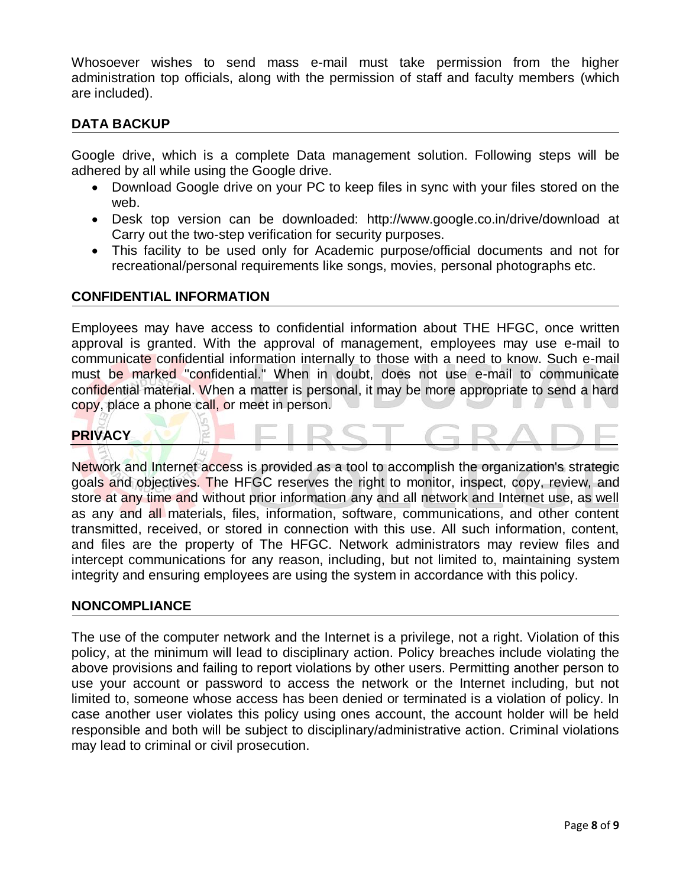Whosoever wishes to send mass e-mail must take permission from the higher administration top officials, along with the permission of staff and faculty members (which are included).

# **DATA BACKUP**

Google drive, which is a complete Data management solution. Following steps will be adhered by all while using the Google drive.

- Download Google drive on your PC to keep files in sync with your files stored on the web.
- Desk top version can be downloaded: http://www.google.co.in/drive/download at Carry out the two-step verification for security purposes.
- This facility to be used only for Academic purpose/official documents and not for recreational/personal requirements like songs, movies, personal photographs etc.

#### **CONFIDENTIAL INFORMATION**

Employees may have access to confidential information about THE HFGC, once written approval is granted. With the approval of management, employees may use e-mail to communicate confidential information internally to those with a need to know. Such e-mail must be marked "confidential." When in doubt, does not use e-mail to communicate confidential material. When a matter is personal, it may be more appropriate to send a hard copy, place a phone call, or meet in person.

# **PRIVACY**

Network and Internet access is provided as a tool to accomplish the organization's strategic goals and objectives. The HFGC reserves the right to monitor, inspect, copy, review, and store at any time and without prior information any and all network and Internet use, as well as any and all materials, files, information, software, communications, and other content transmitted, received, or stored in connection with this use. All such information, content, and files are the property of The HFGC. Network administrators may review files and intercept communications for any reason, including, but not limited to, maintaining system integrity and ensuring employees are using the system in accordance with this policy.

#### **NONCOMPLIANCE**

The use of the computer network and the Internet is a privilege, not a right. Violation of this policy, at the minimum will lead to disciplinary action. Policy breaches include violating the above provisions and failing to report violations by other users. Permitting another person to use your account or password to access the network or the Internet including, but not limited to, someone whose access has been denied or terminated is a violation of policy. In case another user violates this policy using ones account, the account holder will be held responsible and both will be subject to disciplinary/administrative action. Criminal violations may lead to criminal or civil prosecution.